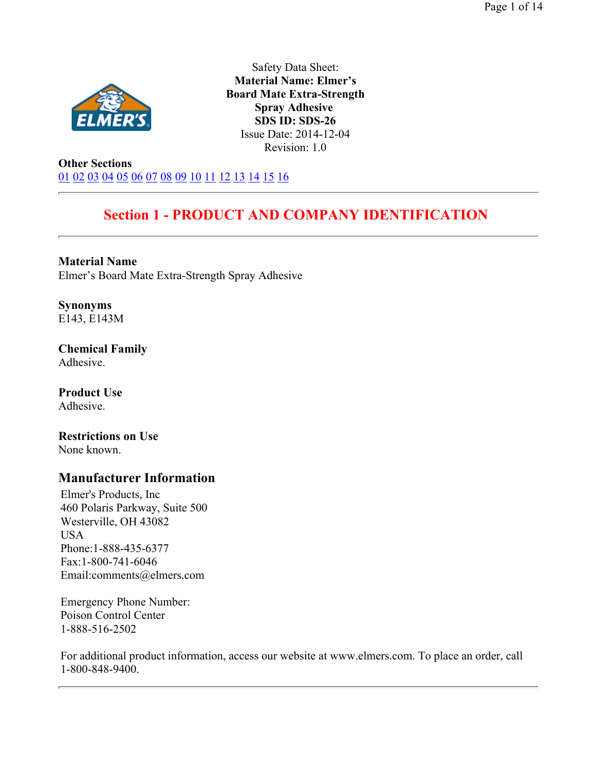

Safety Data Sheet: **Material Name: Elmer's Board Mate Extra-Strength Spray Adhesive SDS ID: SDS-26** Issue Date: 2014-12-04 Revision: 1.0

**Other Sections** 01 02 03 04 05 06 07 08 09 10 11 12 13 14 15 16

# **Section 1 - PRODUCT AND COMPANY IDENTIFICATION**

**Material Name**  Elmer's Board Mate Extra-Strength Spray Adhesive

**Synonyms**  E143, E143M

**Chemical Family**  Adhesive.

**Product Use**  Adhesive.

**Restrictions on Use**  None known.

# **Manufacturer Information**

Elmer's Products, Inc 460 Polaris Parkway, Suite 500 Westerville, OH 43082 USA Phone:1-888-435-6377 Fax:1-800-741-6046 Email:comments@elmers.com

Emergency Phone Number: Poison Control Center 1-888-516-2502

For additional product information, access our website at www.elmers.com. To place an order, call 1-800-848-9400.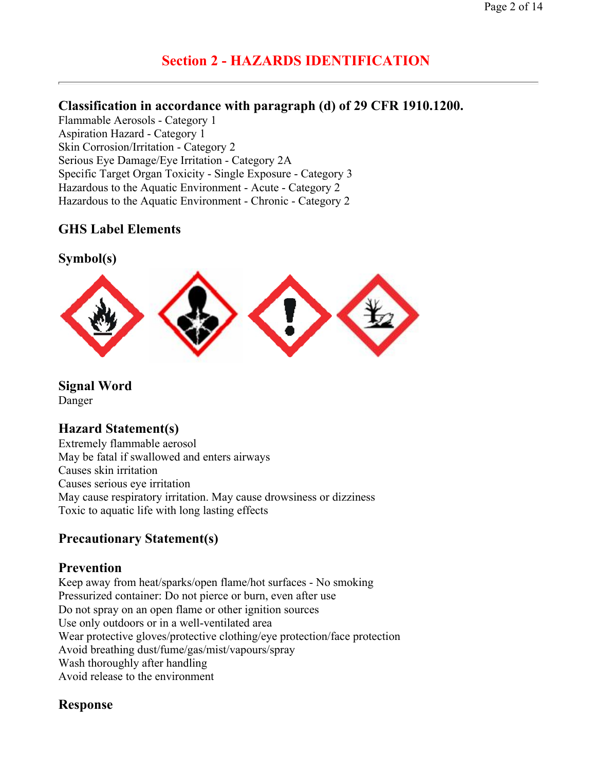# **Section 2 - HAZARDS IDENTIFICATION**

## **Classification in accordance with paragraph (d) of 29 CFR 1910.1200.**

Flammable Aerosols - Category 1 Aspiration Hazard - Category 1 Skin Corrosion/Irritation - Category 2 Serious Eye Damage/Eye Irritation - Category 2A Specific Target Organ Toxicity - Single Exposure - Category 3 Hazardous to the Aquatic Environment - Acute - Category 2 Hazardous to the Aquatic Environment - Chronic - Category 2

# **GHS Label Elements**

### **Symbol(s)**



**Signal Word** 

Danger

## **Hazard Statement(s)**

Extremely flammable aerosol May be fatal if swallowed and enters airways Causes skin irritation Causes serious eye irritation May cause respiratory irritation. May cause drowsiness or dizziness Toxic to aquatic life with long lasting effects

# **Precautionary Statement(s)**

### **Prevention**

Keep away from heat/sparks/open flame/hot surfaces - No smoking Pressurized container: Do not pierce or burn, even after use Do not spray on an open flame or other ignition sources Use only outdoors or in a well-ventilated area Wear protective gloves/protective clothing/eye protection/face protection Avoid breathing dust/fume/gas/mist/vapours/spray Wash thoroughly after handling Avoid release to the environment

## **Response**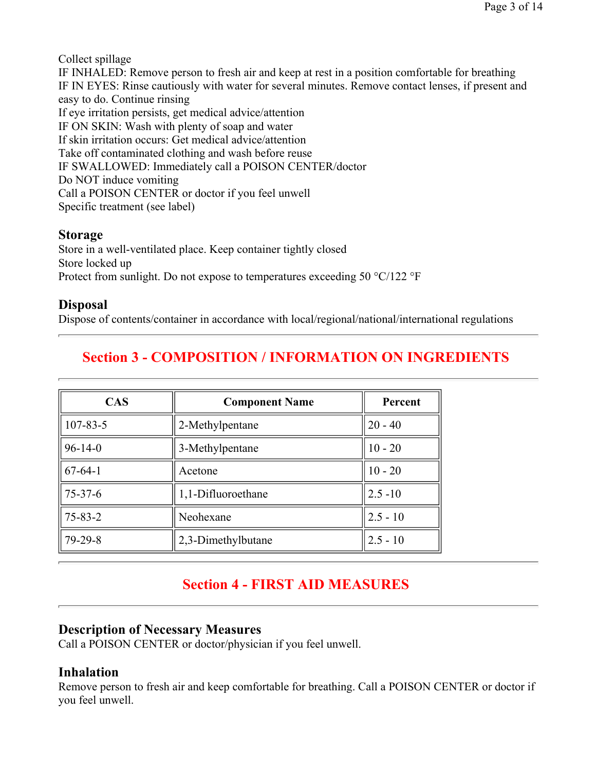Collect spillage

IF INHALED: Remove person to fresh air and keep at rest in a position comfortable for breathing IF IN EYES: Rinse cautiously with water for several minutes. Remove contact lenses, if present and easy to do. Continue rinsing If eye irritation persists, get medical advice/attention IF ON SKIN: Wash with plenty of soap and water If skin irritation occurs: Get medical advice/attention Take off contaminated clothing and wash before reuse IF SWALLOWED: Immediately call a POISON CENTER/doctor Do NOT induce vomiting Call a POISON CENTER or doctor if you feel unwell Specific treatment (see label)

# **Storage**

Store in a well-ventilated place. Keep container tightly closed Store locked up Protect from sunlight. Do not expose to temperatures exceeding 50 °C/122 °F

# **Disposal**

Dispose of contents/container in accordance with local/regional/national/international regulations

# **Section 3 - COMPOSITION / INFORMATION ON INGREDIENTS**

| <b>CAS</b>     | <b>Component Name</b> | Percent    |  |
|----------------|-----------------------|------------|--|
| $107 - 83 - 5$ | 2-Methylpentane       | $20 - 40$  |  |
| $96 - 14 - 0$  | 3-Methylpentane       | $10 - 20$  |  |
| $67 - 64 - 1$  | Acetone               | $10 - 20$  |  |
| $75 - 37 - 6$  | 1,1-Difluoroethane    | $2.5 - 10$ |  |
| $75 - 83 - 2$  | Neohexane             | $2.5 - 10$ |  |
| $79 - 29 - 8$  | 2,3-Dimethylbutane    | $2.5 - 10$ |  |

# **Section 4 - FIRST AID MEASURES**

# **Description of Necessary Measures**

Call a POISON CENTER or doctor/physician if you feel unwell.

# **Inhalation**

Remove person to fresh air and keep comfortable for breathing. Call a POISON CENTER or doctor if you feel unwell.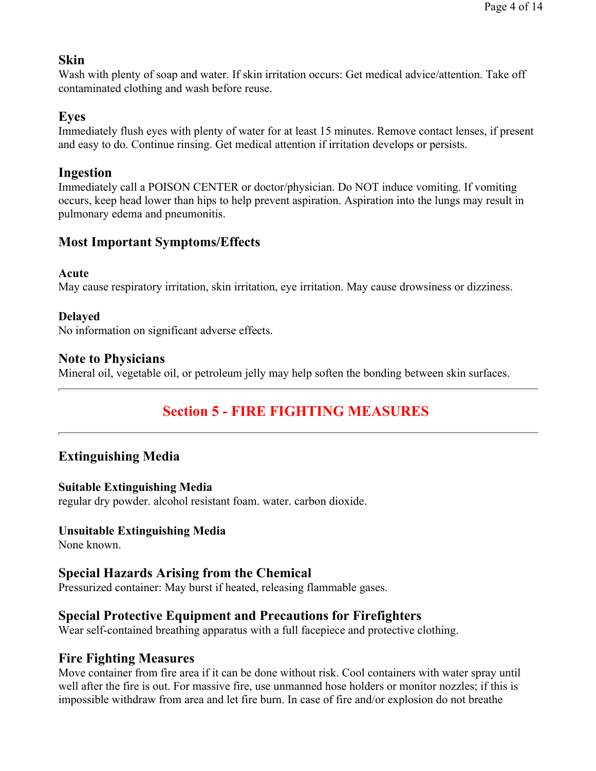## **Skin**

Wash with plenty of soap and water. If skin irritation occurs: Get medical advice/attention. Take off contaminated clothing and wash before reuse.

## **Eyes**

Immediately flush eyes with plenty of water for at least 15 minutes. Remove contact lenses, if present and easy to do. Continue rinsing. Get medical attention if irritation develops or persists.

## **Ingestion**

Immediately call a POISON CENTER or doctor/physician. Do NOT induce vomiting. If vomiting occurs, keep head lower than hips to help prevent aspiration. Aspiration into the lungs may result in pulmonary edema and pneumonitis.

# **Most Important Symptoms/Effects**

### **Acute**

May cause respiratory irritation, skin irritation, eye irritation. May cause drowsiness or dizziness.

### **Delayed**

No information on significant adverse effects.

### **Note to Physicians**

Mineral oil, vegetable oil, or petroleum jelly may help soften the bonding between skin surfaces.

# **Section 5 - FIRE FIGHTING MEASURES**

# **Extinguishing Media**

### **Suitable Extinguishing Media**

regular dry powder. alcohol resistant foam. water. carbon dioxide.

### **Unsuitable Extinguishing Media**

None known.

## **Special Hazards Arising from the Chemical**

Pressurized container: May burst if heated, releasing flammable gases.

# **Special Protective Equipment and Precautions for Firefighters**

Wear self-contained breathing apparatus with a full facepiece and protective clothing.

### **Fire Fighting Measures**

Move container from fire area if it can be done without risk. Cool containers with water spray until well after the fire is out. For massive fire, use unmanned hose holders or monitor nozzles; if this is impossible withdraw from area and let fire burn. In case of fire and/or explosion do not breathe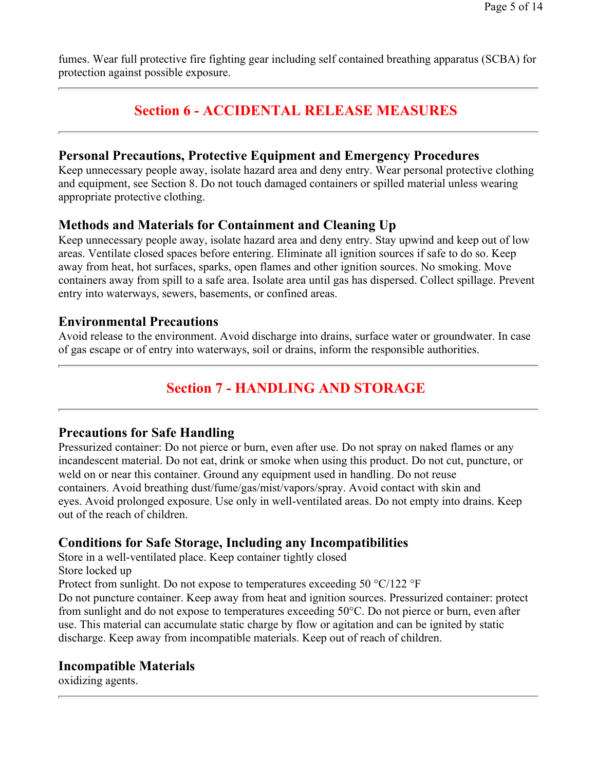fumes. Wear full protective fire fighting gear including self contained breathing apparatus (SCBA) for protection against possible exposure.

# **Section 6 - ACCIDENTAL RELEASE MEASURES**

### **Personal Precautions, Protective Equipment and Emergency Procedures**

Keep unnecessary people away, isolate hazard area and deny entry. Wear personal protective clothing and equipment, see Section 8. Do not touch damaged containers or spilled material unless wearing appropriate protective clothing.

## **Methods and Materials for Containment and Cleaning Up**

Keep unnecessary people away, isolate hazard area and deny entry. Stay upwind and keep out of low areas. Ventilate closed spaces before entering. Eliminate all ignition sources if safe to do so. Keep away from heat, hot surfaces, sparks, open flames and other ignition sources. No smoking. Move containers away from spill to a safe area. Isolate area until gas has dispersed. Collect spillage. Prevent entry into waterways, sewers, basements, or confined areas.

### **Environmental Precautions**

Avoid release to the environment. Avoid discharge into drains, surface water or groundwater. In case of gas escape or of entry into waterways, soil or drains, inform the responsible authorities.

# **Section 7 - HANDLING AND STORAGE**

## **Precautions for Safe Handling**

Pressurized container: Do not pierce or burn, even after use. Do not spray on naked flames or any incandescent material. Do not eat, drink or smoke when using this product. Do not cut, puncture, or weld on or near this container. Ground any equipment used in handling. Do not reuse containers. Avoid breathing dust/fume/gas/mist/vapors/spray. Avoid contact with skin and eyes. Avoid prolonged exposure. Use only in well-ventilated areas. Do not empty into drains. Keep out of the reach of children.

# **Conditions for Safe Storage, Including any Incompatibilities**

Store in a well-ventilated place. Keep container tightly closed

Store locked up

Protect from sunlight. Do not expose to temperatures exceeding 50  $^{\circ}$ C/122  $^{\circ}$ F

Do not puncture container. Keep away from heat and ignition sources. Pressurized container: protect from sunlight and do not expose to temperatures exceeding 50°C. Do not pierce or burn, even after use. This material can accumulate static charge by flow or agitation and can be ignited by static discharge. Keep away from incompatible materials. Keep out of reach of children.

# **Incompatible Materials**

oxidizing agents.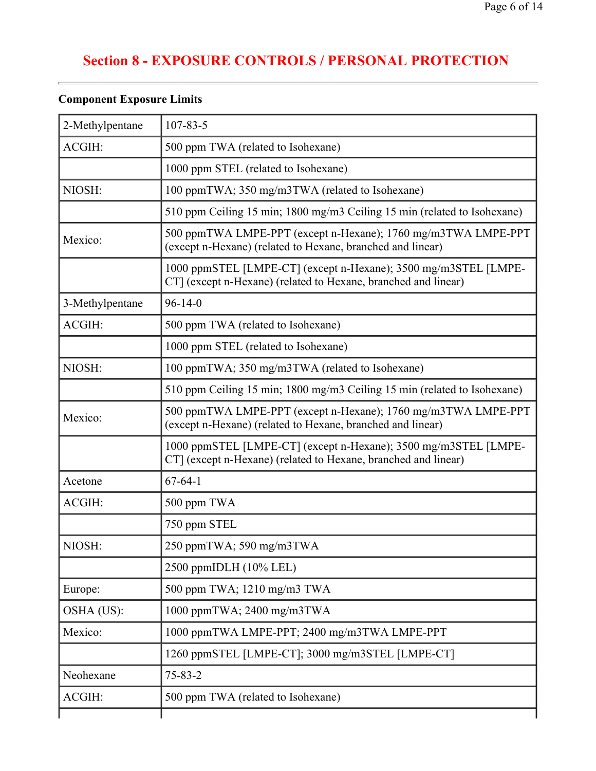| 2-Methylpentane | $107 - 83 - 5$                                                                                                                    |  |  |  |
|-----------------|-----------------------------------------------------------------------------------------------------------------------------------|--|--|--|
| ACGIH:          | 500 ppm TWA (related to Isohexane)                                                                                                |  |  |  |
|                 | 1000 ppm STEL (related to Isohexane)                                                                                              |  |  |  |
| NIOSH:          | 100 ppmTWA; 350 mg/m3TWA (related to Isohexane)                                                                                   |  |  |  |
|                 | 510 ppm Ceiling 15 min; 1800 mg/m3 Ceiling 15 min (related to Isohexane)                                                          |  |  |  |
| Mexico:         | 500 ppmTWA LMPE-PPT (except n-Hexane); 1760 mg/m3TWA LMPE-PPT<br>(except n-Hexane) (related to Hexane, branched and linear)       |  |  |  |
|                 | 1000 ppmSTEL [LMPE-CT] (except n-Hexane); 3500 mg/m3STEL [LMPE-<br>CT] (except n-Hexane) (related to Hexane, branched and linear) |  |  |  |
| 3-Methylpentane | $96 - 14 - 0$                                                                                                                     |  |  |  |
| ACGIH:          | 500 ppm TWA (related to Isohexane)                                                                                                |  |  |  |
|                 | 1000 ppm STEL (related to Isohexane)                                                                                              |  |  |  |
| NIOSH:          | 100 ppmTWA; 350 mg/m3TWA (related to Isohexane)                                                                                   |  |  |  |
|                 | 510 ppm Ceiling 15 min; 1800 mg/m3 Ceiling 15 min (related to Isohexane)                                                          |  |  |  |
| Mexico:         | 500 ppmTWA LMPE-PPT (except n-Hexane); 1760 mg/m3TWA LMPE-PPT<br>(except n-Hexane) (related to Hexane, branched and linear)       |  |  |  |
|                 | 1000 ppmSTEL [LMPE-CT] (except n-Hexane); 3500 mg/m3STEL [LMPE-<br>CT] (except n-Hexane) (related to Hexane, branched and linear) |  |  |  |
| Acetone         | $67 - 64 - 1$                                                                                                                     |  |  |  |
| ACGIH:          | 500 ppm TWA                                                                                                                       |  |  |  |
|                 | 750 ppm STEL                                                                                                                      |  |  |  |
| NIOSH:          | 250 ppmTWA; 590 mg/m3TWA                                                                                                          |  |  |  |
|                 | 2500 ppmIDLH (10% LEL)                                                                                                            |  |  |  |
| Europe:         | 500 ppm TWA; 1210 mg/m3 TWA                                                                                                       |  |  |  |
| OSHA (US):      | 1000 ppmTWA; 2400 mg/m3TWA                                                                                                        |  |  |  |
| Mexico:         | 1000 ppmTWA LMPE-PPT; 2400 mg/m3TWA LMPE-PPT                                                                                      |  |  |  |
|                 | 1260 ppmSTEL [LMPE-CT]; 3000 mg/m3STEL [LMPE-CT]                                                                                  |  |  |  |
| Neohexane       | $75 - 83 - 2$                                                                                                                     |  |  |  |
| ACGIH:          | 500 ppm TWA (related to Isohexane)                                                                                                |  |  |  |
|                 |                                                                                                                                   |  |  |  |

# **Component Exposure Limits**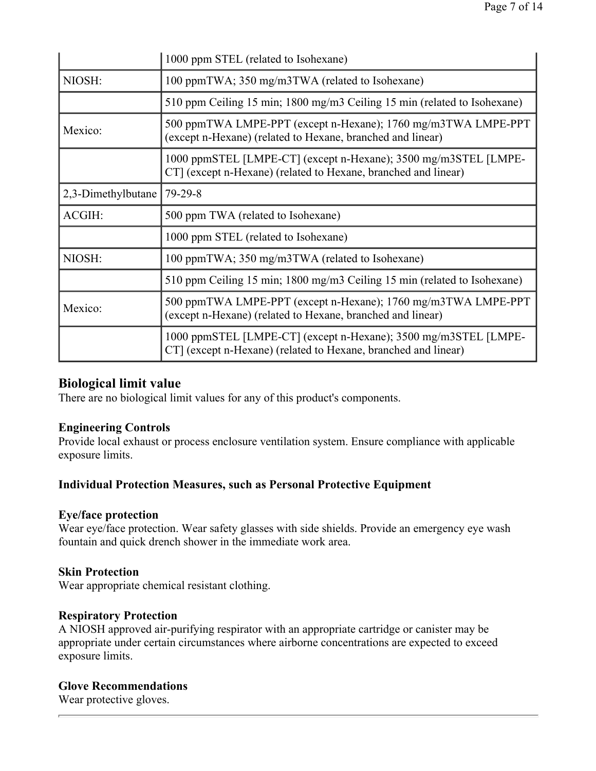|                    | 1000 ppm STEL (related to Isohexane)                                                                                              |  |  |  |  |
|--------------------|-----------------------------------------------------------------------------------------------------------------------------------|--|--|--|--|
| NIOSH:             | 100 ppmTWA; 350 mg/m3TWA (related to Isohexane)                                                                                   |  |  |  |  |
|                    | 510 ppm Ceiling 15 min; 1800 mg/m3 Ceiling 15 min (related to Isohexane)                                                          |  |  |  |  |
| Mexico:            | 500 ppmTWA LMPE-PPT (except n-Hexane); 1760 mg/m3TWA LMPE-PPT<br>(except n-Hexane) (related to Hexane, branched and linear)       |  |  |  |  |
|                    | 1000 ppmSTEL [LMPE-CT] (except n-Hexane); 3500 mg/m3STEL [LMPE-<br>CT] (except n-Hexane) (related to Hexane, branched and linear) |  |  |  |  |
| 2,3-Dimethylbutane | $79 - 29 - 8$                                                                                                                     |  |  |  |  |
| ACGIH:             | 500 ppm TWA (related to Isohexane)                                                                                                |  |  |  |  |
|                    | 1000 ppm STEL (related to Isohexane)                                                                                              |  |  |  |  |
| NIOSH:             | 100 ppmTWA; 350 mg/m3TWA (related to Isohexane)                                                                                   |  |  |  |  |
|                    | 510 ppm Ceiling 15 min; 1800 mg/m3 Ceiling 15 min (related to Isohexane)                                                          |  |  |  |  |
| Mexico:            | 500 ppmTWA LMPE-PPT (except n-Hexane); 1760 mg/m3TWA LMPE-PPT<br>(except n-Hexane) (related to Hexane, branched and linear)       |  |  |  |  |
|                    | 1000 ppmSTEL [LMPE-CT] (except n-Hexane); 3500 mg/m3STEL [LMPE-<br>CT (except n-Hexane) (related to Hexane, branched and linear)  |  |  |  |  |

### **Biological limit value**

There are no biological limit values for any of this product's components.

### **Engineering Controls**

Provide local exhaust or process enclosure ventilation system. Ensure compliance with applicable exposure limits.

## **Individual Protection Measures, such as Personal Protective Equipment**

### **Eye/face protection**

Wear eye/face protection. Wear safety glasses with side shields. Provide an emergency eye wash fountain and quick drench shower in the immediate work area.

### **Skin Protection**

Wear appropriate chemical resistant clothing.

### **Respiratory Protection**

A NIOSH approved air-purifying respirator with an appropriate cartridge or canister may be appropriate under certain circumstances where airborne concentrations are expected to exceed exposure limits.

### **Glove Recommendations**

Wear protective gloves.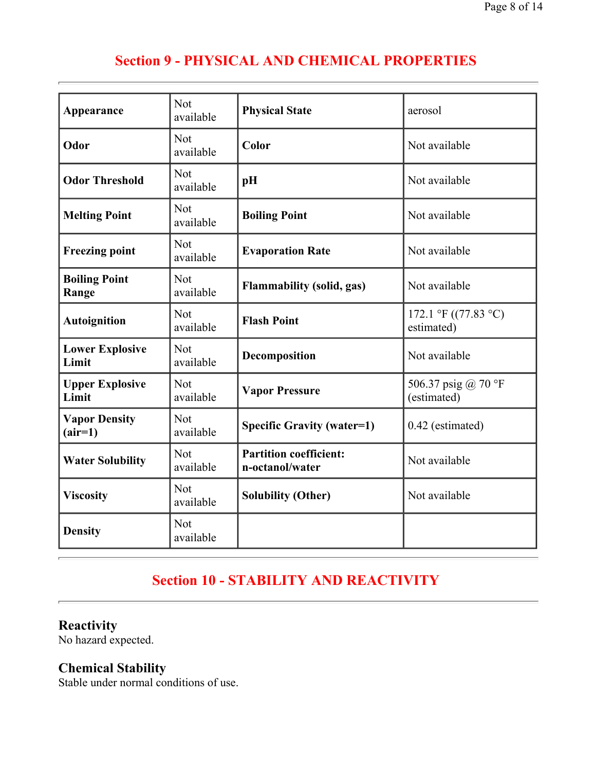# **Section 9 - PHYSICAL AND CHEMICAL PROPERTIES**

| Appearance                        | <b>Not</b><br>available                                     | <b>Physical State</b>                            | aerosol                            |  |  |
|-----------------------------------|-------------------------------------------------------------|--------------------------------------------------|------------------------------------|--|--|
| Odor                              | <b>Not</b><br>available                                     | Color                                            | Not available                      |  |  |
| <b>Odor Threshold</b>             | Not<br>available                                            | pH                                               | Not available                      |  |  |
| <b>Melting Point</b>              | <b>Not</b><br>available                                     | <b>Boiling Point</b>                             | Not available                      |  |  |
| <b>Freezing point</b>             | <b>Not</b><br>available                                     | <b>Evaporation Rate</b>                          | Not available                      |  |  |
| <b>Boiling Point</b><br>Range     | <b>Not</b><br><b>Flammability (solid, gas)</b><br>available |                                                  | Not available                      |  |  |
| <b>Autoignition</b>               | <b>Not</b><br><b>Flash Point</b><br>available               |                                                  | 172.1 °F ((77.83 °C)<br>estimated) |  |  |
| <b>Lower Explosive</b><br>Limit   | Not<br>available                                            | Decomposition                                    | Not available                      |  |  |
| <b>Upper Explosive</b><br>Limit   | Not<br>available                                            | <b>Vapor Pressure</b>                            | 506.37 psig @ 70 °F<br>(estimated) |  |  |
| <b>Vapor Density</b><br>$(air=1)$ | <b>Not</b><br>available                                     | <b>Specific Gravity (water=1)</b>                | 0.42 (estimated)                   |  |  |
| <b>Water Solubility</b>           | <b>Not</b><br>available                                     | <b>Partition coefficient:</b><br>n-octanol/water | Not available                      |  |  |
| <b>Viscosity</b>                  | <b>Not</b><br>available                                     | <b>Solubility (Other)</b>                        | Not available                      |  |  |
| <b>Density</b>                    | <b>Not</b><br>available                                     |                                                  |                                    |  |  |

# **Section 10 - STABILITY AND REACTIVITY**

# **Reactivity**

No hazard expected.

# **Chemical Stability**

Stable under normal conditions of use.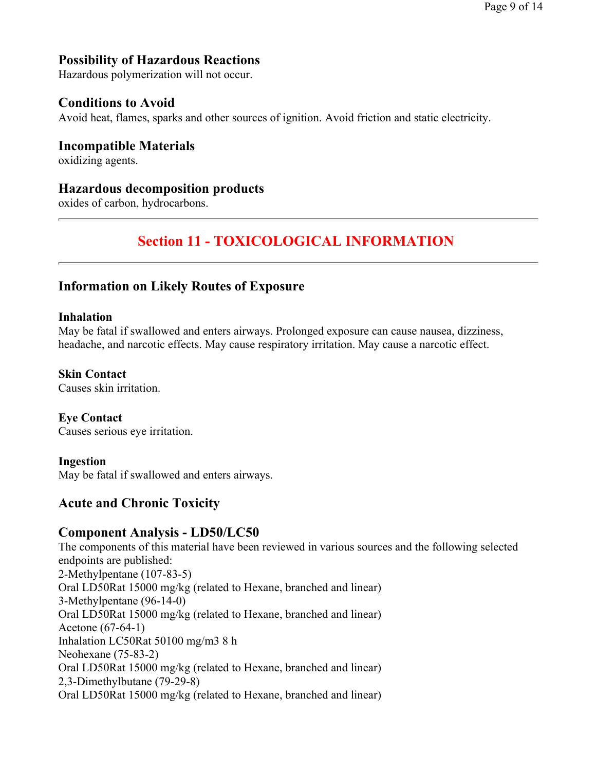# **Possibility of Hazardous Reactions**

Hazardous polymerization will not occur.

## **Conditions to Avoid**

Avoid heat, flames, sparks and other sources of ignition. Avoid friction and static electricity.

**Incompatible Materials**  oxidizing agents.

### **Hazardous decomposition products**

oxides of carbon, hydrocarbons.

# **Section 11 - TOXICOLOGICAL INFORMATION**

### **Information on Likely Routes of Exposure**

#### **Inhalation**

May be fatal if swallowed and enters airways. Prolonged exposure can cause nausea, dizziness, headache, and narcotic effects. May cause respiratory irritation. May cause a narcotic effect.

**Skin Contact**  Causes skin irritation.

**Eye Contact**  Causes serious eye irritation.

#### **Ingestion**

May be fatal if swallowed and enters airways.

## **Acute and Chronic Toxicity**

## **Component Analysis - LD50/LC50**

The components of this material have been reviewed in various sources and the following selected endpoints are published: 2-Methylpentane (107-83-5) Oral LD50Rat 15000 mg/kg (related to Hexane, branched and linear) 3-Methylpentane (96-14-0) Oral LD50Rat 15000 mg/kg (related to Hexane, branched and linear) Acetone (67-64-1) Inhalation LC50Rat 50100 mg/m3 8 h Neohexane (75-83-2) Oral LD50Rat 15000 mg/kg (related to Hexane, branched and linear) 2,3-Dimethylbutane (79-29-8) Oral LD50Rat 15000 mg/kg (related to Hexane, branched and linear)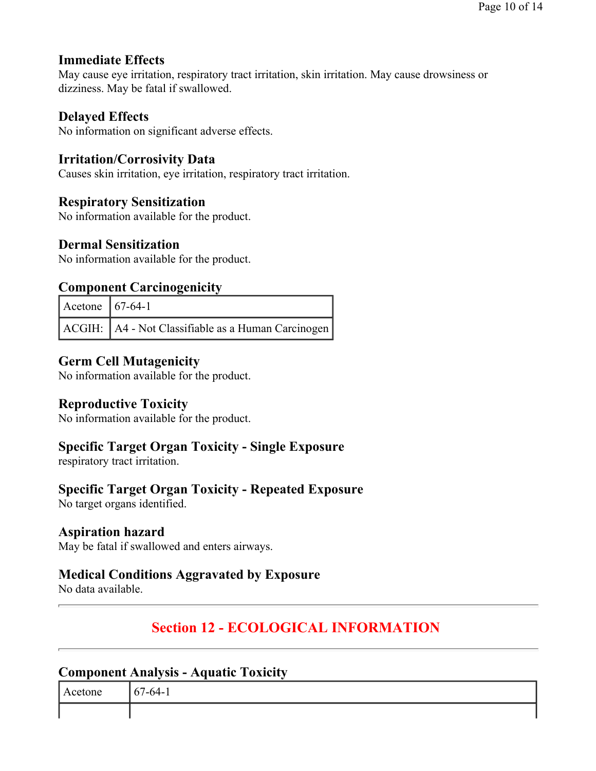Page 10 of 14

# **Immediate Effects**

May cause eye irritation, respiratory tract irritation, skin irritation. May cause drowsiness or dizziness. May be fatal if swallowed.

# **Delayed Effects**

No information on significant adverse effects.

# **Irritation/Corrosivity Data**

Causes skin irritation, eye irritation, respiratory tract irritation.

# **Respiratory Sensitization**

No information available for the product.

## **Dermal Sensitization**

No information available for the product.

## **Component Carcinogenicity**

| Acetone $\Big  67-64-1 \Big $ |                                                      |
|-------------------------------|------------------------------------------------------|
|                               | ACGIH:   A4 - Not Classifiable as a Human Carcinogen |

## **Germ Cell Mutagenicity**

No information available for the product.

## **Reproductive Toxicity**

No information available for the product.

## **Specific Target Organ Toxicity - Single Exposure**

respiratory tract irritation.

## **Specific Target Organ Toxicity - Repeated Exposure**

No target organs identified.

## **Aspiration hazard**

May be fatal if swallowed and enters airways.

# **Medical Conditions Aggravated by Exposure**

No data available.

# **Section 12 - ECOLOGICAL INFORMATION**

### **Component Analysis - Aquatic Toxicity**

| -<br>$\overline{ }$<br>™- |
|---------------------------|
|                           |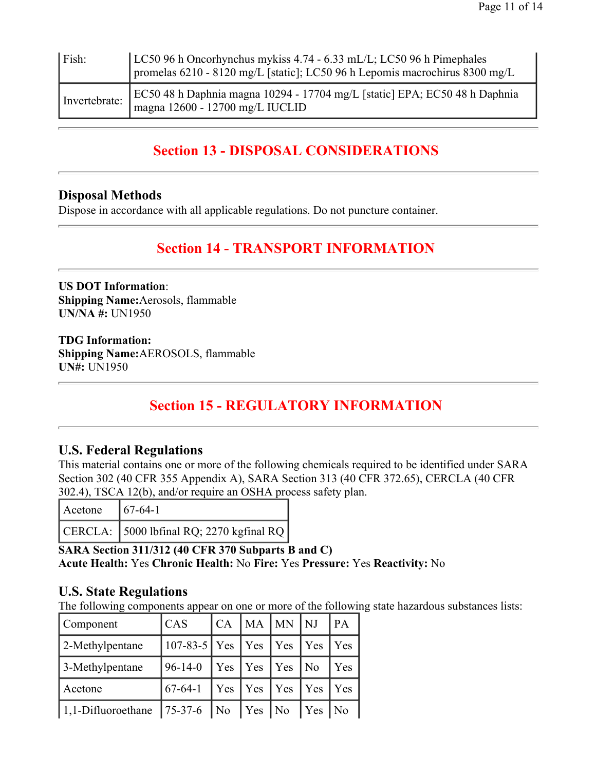| $\vert$ Fish: | LC50 96 h Oncorhynchus mykiss 4.74 - 6.33 mL/L; LC50 96 h Pimephales<br>promelas 6210 - 8120 mg/L [static]; LC50 96 h Lepomis macrochirus 8300 mg/L |
|---------------|-----------------------------------------------------------------------------------------------------------------------------------------------------|
| Invertebrate: | EC50 48 h Daphnia magna 10294 - 17704 mg/L [static] EPA; EC50 48 h Daphnia<br>magna 12600 - 12700 mg/L IUCLID                                       |

# **Section 13 - DISPOSAL CONSIDERATIONS**

## **Disposal Methods**

Dispose in accordance with all applicable regulations. Do not puncture container.

# **Section 14 - TRANSPORT INFORMATION**

**US DOT Information**: **Shipping Name:**Aerosols, flammable **UN/NA #:** UN1950

**TDG Information: Shipping Name:**AEROSOLS, flammable **UN#:** UN1950

# **Section 15 - REGULATORY INFORMATION**

## **U.S. Federal Regulations**

This material contains one or more of the following chemicals required to be identified under SARA Section 302 (40 CFR 355 Appendix A), SARA Section 313 (40 CFR 372.65), CERCLA (40 CFR 302.4), TSCA 12(b), and/or require an OSHA process safety plan.

| Acetone | $167-64-1$                                 |
|---------|--------------------------------------------|
|         | $CERCLA:$ 5000 lbfinal RQ; 2270 kgfinal RQ |

**SARA Section 311/312 (40 CFR 370 Subparts B and C) Acute Health:** Yes **Chronic Health:** No **Fire:** Yes **Pressure:** Yes **Reactivity:** No

# **U.S. State Regulations**

The following components appear on one or more of the following state hazardous substances lists:

| Component               | $\mathsf{C}\mathsf{A}\mathsf{S}$ | $\mathsf{C}\mathsf{A}$ | $MA$ $MN$       | $\overline{\rm N}$ | PA  |
|-------------------------|----------------------------------|------------------------|-----------------|--------------------|-----|
| $\vert$ 2-Methylpentane | $107-83-5$ Yes                   |                        | $ $ Yes $ $ Yes | Yes                | Yes |
| 3-Methylpentane         | $196-14-0$                       | Yes                    | Yes Yes         | N <sub>0</sub>     | Yes |
| Acetone                 | $167 - 64 - 1$                   | $\vert$ Yes            | $Yes \mid Yes$  | $\vert$ Yes        | Yes |
| $ 1,1$ -Difluoroethane  | $75-37-6$                        | $ N_{0} $              | $Yes \mid No$   | Yes                | No  |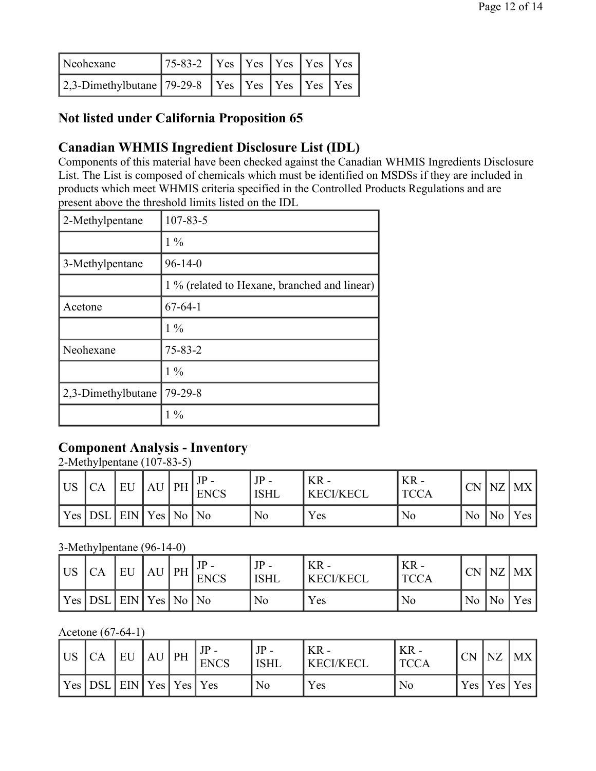| Neohexane                                                      | $75-83-2$ $\sqrt{Y}$ es $\sqrt{Y}$ es $\sqrt{Y}$ es $\sqrt{Y}$ es $\sqrt{Y}$ |  |  |  |
|----------------------------------------------------------------|------------------------------------------------------------------------------|--|--|--|
| 2,3-Dimethylbutane 79-29-8   Yes   Yes   Yes   Yes   Yes   Yes |                                                                              |  |  |  |

# **Not listed under California Proposition 65**

## **Canadian WHMIS Ingredient Disclosure List (IDL)**

Components of this material have been checked against the Canadian WHMIS Ingredients Disclosure List. The List is composed of chemicals which must be identified on MSDSs if they are included in products which meet WHMIS criteria specified in the Controlled Products Regulations and are present above the threshold limits listed on the IDL

| 2-Methylpentane    | $107 - 83 - 5$                               |
|--------------------|----------------------------------------------|
|                    | $1\%$                                        |
| 3-Methylpentane    | $96 - 14 - 0$                                |
|                    | 1 % (related to Hexane, branched and linear) |
| Acetone            | $67 - 64 - 1$                                |
|                    | $1\%$                                        |
| Neohexane          | $75 - 83 - 2$                                |
|                    | $1\%$                                        |
| 2,3-Dimethylbutane | $79 - 29 - 8$                                |
|                    | $1\%$                                        |

## **Component Analysis - Inventory**

2-Methylpentane (107-83-5)

| l US | СA                              | EU | $AU$ PH | <b>ENCS</b> | $JP -$<br><b>ISHL</b> | ' KR -<br><b>KECI/KECL</b> | $KR -$<br>' TCCA | CN NZ |        | MX  |
|------|---------------------------------|----|---------|-------------|-----------------------|----------------------------|------------------|-------|--------|-----|
|      | Yes   DSL   EIN   Yes   No   No |    |         |             | No                    | Yes                        | N <sub>0</sub>   | No    | $'$ No | Yes |

#### 3-Methylpentane (96-14-0)

| <b>US</b> | CA  | EU              | $AU$ PH | <b>ENCS</b> | $JP -$<br><b>ISHL</b> | $KR -$<br><b>KECI/KECL</b> | $KR -$<br>'TCCA |                |        | $CN$ NZ MX |
|-----------|-----|-----------------|---------|-------------|-----------------------|----------------------------|-----------------|----------------|--------|------------|
| Yes       | DSL | $ EN Yes No No$ |         |             | No                    | Yes                        | N <sub>0</sub>  | N <sub>o</sub> | $'$ No | Yes        |

Acetone (67-64-1)

| l US | CA                                              | EU | $AU$ PH | <b>ENCS</b> | $JP -$<br><b>ISHL</b> | ' KR -<br><b>KECI/KECL</b> | ' KR -<br>TCCA | <b>CN</b> | $\overline{NZ}$ | MX              |
|------|-------------------------------------------------|----|---------|-------------|-----------------------|----------------------------|----------------|-----------|-----------------|-----------------|
|      | $ $ Yes $ $ DSL $ $ EIN $ $ Yes $ $ Yes $ $ Yes |    |         |             | No                    | Yes                        | No             |           |                 | Yes   Yes   Yes |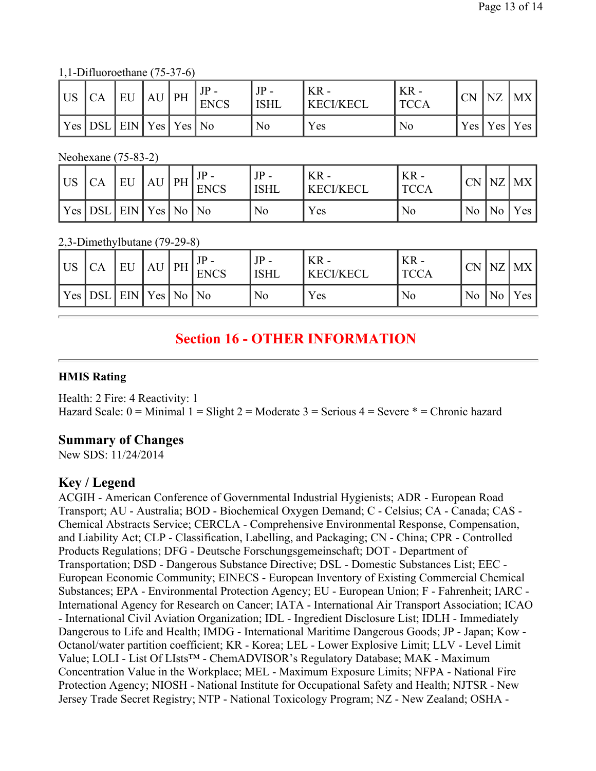1,1-Difluoroethane (75-37-6)

| <b>US</b> | <b>CA</b>                        | EU | $AU$ PH | <b>ENCS</b> | $JP -$<br><b>ISHL</b> | $KR -$<br><b>KECI/KECL</b> | $KR -$<br><b>TCCA</b> | <b>CN</b> | NZ | MX              |
|-----------|----------------------------------|----|---------|-------------|-----------------------|----------------------------|-----------------------|-----------|----|-----------------|
|           | Yes   DSL   EIN   Yes   Yes   No |    |         |             | No                    | Yes                        | No                    |           |    | Yes   Yes   Yes |

Neohexane (75-83-2)

| l US | CA                              | EU | $AU$ PH | <b>ENCS</b> | <b>ISHL</b> | $KR -$<br><b>KECI/KECL</b> | $KR -$<br>' TCCA |  | $CN$ $NZ$ $MX$                            |
|------|---------------------------------|----|---------|-------------|-------------|----------------------------|------------------|--|-------------------------------------------|
|      | Yes   DSL   EIN   Yes   No   No |    |         |             | No          | Yes                        | No               |  | $\vert$ No $\vert$ No $\vert$ Yes $\vert$ |

2,3-Dimethylbutane (79-29-8)

| US  | CA         | EU               | AU | $\overline{\text{PH}}$ | <b>ENCS</b> | JP<br><b>ISHL</b> | $KR -$<br><b>KECI/KECL</b> | $KR -$<br>TCCA |    |           | $CN$ $NZ$ $MX$ |
|-----|------------|------------------|----|------------------------|-------------|-------------------|----------------------------|----------------|----|-----------|----------------|
| Yes | <b>DSL</b> | $ ENN Yes No No$ |    |                        |             | No                | Yes                        | No             | No | $ N_{0} $ | Yes            |

# **Section 16 - OTHER INFORMATION**

#### **HMIS Rating**

Health: 2 Fire: 4 Reactivity: 1 Hazard Scale:  $0 =$  Minimal  $1 =$  Slight  $2 =$  Moderate  $3 =$  Serious  $4 =$  Severe  $* =$  Chronic hazard

## **Summary of Changes**

New SDS: 11/24/2014

## **Key / Legend**

ACGIH - American Conference of Governmental Industrial Hygienists; ADR - European Road Transport; AU - Australia; BOD - Biochemical Oxygen Demand; C - Celsius; CA - Canada; CAS - Chemical Abstracts Service; CERCLA - Comprehensive Environmental Response, Compensation, and Liability Act; CLP - Classification, Labelling, and Packaging; CN - China; CPR - Controlled Products Regulations; DFG - Deutsche Forschungsgemeinschaft; DOT - Department of Transportation; DSD - Dangerous Substance Directive; DSL - Domestic Substances List; EEC - European Economic Community; EINECS - European Inventory of Existing Commercial Chemical Substances; EPA - Environmental Protection Agency; EU - European Union; F - Fahrenheit; IARC - International Agency for Research on Cancer; IATA - International Air Transport Association; ICAO - International Civil Aviation Organization; IDL - Ingredient Disclosure List; IDLH - Immediately Dangerous to Life and Health; IMDG - International Maritime Dangerous Goods; JP - Japan; Kow - Octanol/water partition coefficient; KR - Korea; LEL - Lower Explosive Limit; LLV - Level Limit Value; LOLI - List Of LIsts™ - ChemADVISOR's Regulatory Database; MAK - Maximum Concentration Value in the Workplace; MEL - Maximum Exposure Limits; NFPA - National Fire Protection Agency; NIOSH - National Institute for Occupational Safety and Health; NJTSR - New Jersey Trade Secret Registry; NTP - National Toxicology Program; NZ - New Zealand; OSHA -